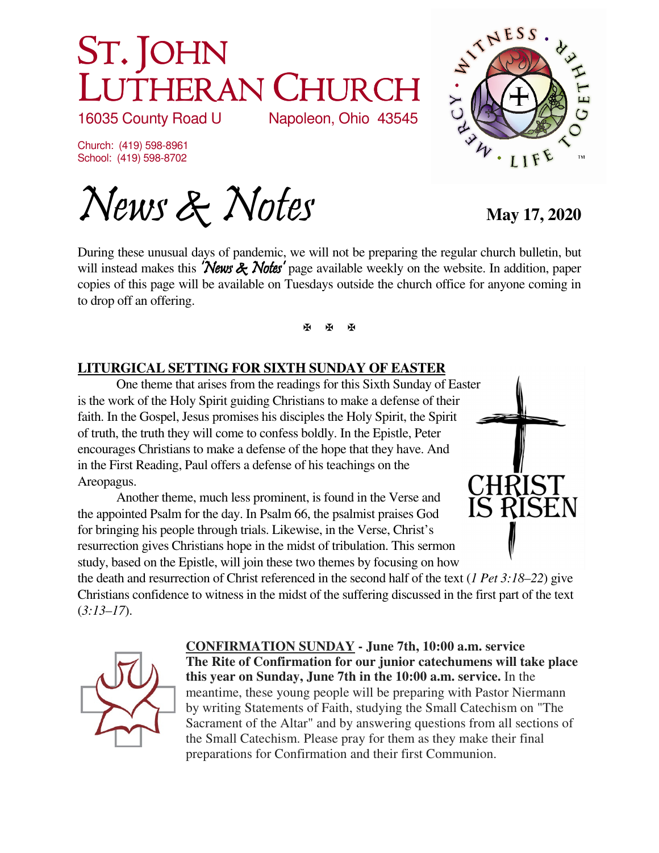# ST. JOHN LUTHERAN CHURCH<br>16035 County Road U Napoleon, Ohio 43545

16035 County Road U

Church: (419) 598-8961 School: (419) 598-8702

News & Notes May 17, 2020

During these unusual days of pandemic, we will not be preparing the regular church bulletin, but will instead makes this **'News & Notes'** page available weekly on the website. In addition, paper copies of this page will be available on Tuesdays outside the church office for anyone coming in to drop off an offering.

医图图

### **LITURGICAL SETTING FOR SIXTH SUNDAY OF EASTER**

One theme that arises from the readings for this Sixth Sunday of Easter is the work of the Holy Spirit guiding Christians to make a defense of their faith. In the Gospel, Jesus promises his disciples the Holy Spirit, the Spirit of truth, the truth they will come to confess boldly. In the Epistle, Peter encourages Christians to make a defense of the hope that they have. And in the First Reading, Paul offers a defense of his teachings on the Areopagus.

Another theme, much less prominent, is found in the Verse and the appointed Psalm for the day. In Psalm 66, the psalmist praises God for bringing his people through trials. Likewise, in the Verse, Christ's resurrection gives Christians hope in the midst of tribulation. This sermon study, based on the Epistle, will join these two themes by focusing on how

the death and resurrection of Christ referenced in the second half of the text (*1 Pet 3:18–22*) give Christians confidence to witness in the midst of the suffering discussed in the first part of the text (*3:13–17*).



**CONFIRMATION SUNDAY - June 7th, 10:00 a.m. service The Rite of Confirmation for our junior catechumens will take place this year on Sunday, June 7th in the 10:00 a.m. service.** In the meantime, these young people will be preparing with Pastor Niermann by writing Statements of Faith, studying the Small Catechism on "The Sacrament of the Altar" and by answering questions from all sections of the Small Catechism. Please pray for them as they make their final preparations for Confirmation and their first Communion.





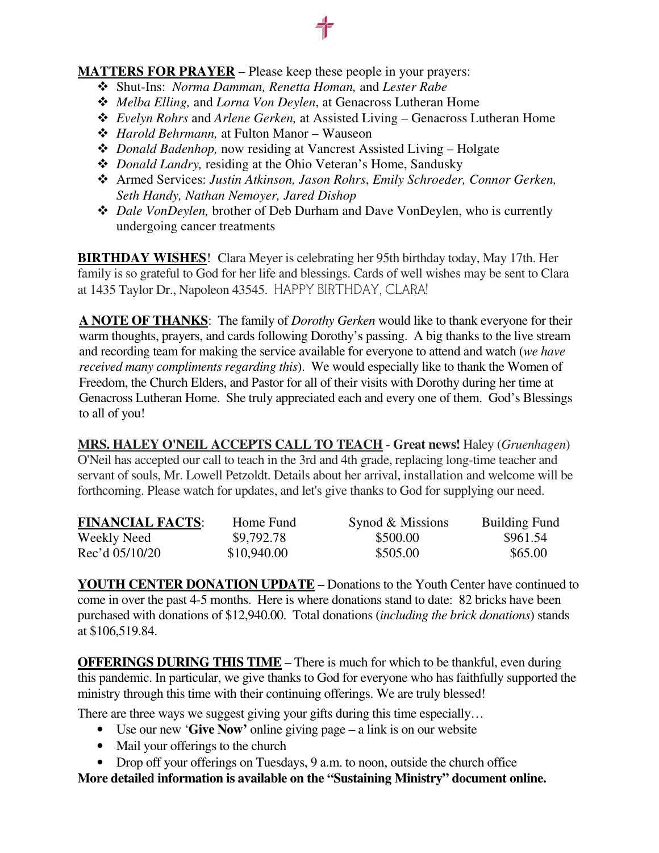#### **MATTERS FOR PRAYER** – Please keep these people in your prayers:

- Shut-Ins: *Norma Damman, Renetta Homan,* and *Lester Rabe*
- *Melba Elling,* and *Lorna Von Deylen*, at Genacross Lutheran Home
- *Evelyn Rohrs* and *Arlene Gerken,* at Assisted Living Genacross Lutheran Home
- *Harold Behrmann,* at Fulton Manor Wauseon
- *Donald Badenhop,* now residing at Vancrest Assisted Living Holgate
- *Donald Landry,* residing at the Ohio Veteran's Home, Sandusky
- Armed Services: *Justin Atkinson, Jason Rohrs*, *Emily Schroeder, Connor Gerken, Seth Handy, Nathan Nemoyer, Jared Dishop*
- *Dale VonDeylen,* brother of Deb Durham and Dave VonDeylen, who is currently undergoing cancer treatments

**BIRTHDAY WISHES**! Clara Meyer is celebrating her 95th birthday today, May 17th. Her family is so grateful to God for her life and blessings. Cards of well wishes may be sent to Clara at 1435 Taylor Dr., Napoleon 43545. HAPPY BIRTHDAY, CLARA!

**A NOTE OF THANKS**: The family of *Dorothy Gerken* would like to thank everyone for their warm thoughts, prayers, and cards following Dorothy's passing. A big thanks to the live stream and recording team for making the service available for everyone to attend and watch (*we have received many compliments regarding this*). We would especially like to thank the Women of Freedom, the Church Elders, and Pastor for all of their visits with Dorothy during her time at Genacross Lutheran Home. She truly appreciated each and every one of them. God's Blessings to all of you!

**MRS. HALEY O'NEIL ACCEPTS CALL TO TEACH** - **Great news!** Haley (*Gruenhagen*) O'Neil has accepted our call to teach in the 3rd and 4th grade, replacing long-time teacher and servant of souls, Mr. Lowell Petzoldt. Details about her arrival, installation and welcome will be forthcoming. Please watch for updates, and let's give thanks to God for supplying our need.

| <b>FINANCIAL FACTS:</b> | Home Fund   | Synod & Missions | <b>Building Fund</b> |
|-------------------------|-------------|------------------|----------------------|
| Weekly Need             | \$9,792.78  | \$500.00         | \$961.54             |
| Rec'd 05/10/20          | \$10,940.00 | \$505.00         | \$65.00              |

**YOUTH CENTER DONATION UPDATE** – Donations to the Youth Center have continued to come in over the past 4-5 months. Here is where donations stand to date: 82 bricks have been purchased with donations of \$12,940.00. Total donations (*including the brick donations*) stands at \$106,519.84.

**OFFERINGS DURING THIS TIME** – There is much for which to be thankful, even during this pandemic. In particular, we give thanks to God for everyone who has faithfully supported the ministry through this time with their continuing offerings. We are truly blessed!

There are three ways we suggest giving your gifts during this time especially...

- Use our new '**Give Now'** online giving page a link is on our website
- Mail your offerings to the church
- Drop off your offerings on Tuesdays, 9 a.m. to noon, outside the church office

**More detailed information is available on the "Sustaining Ministry" document online.**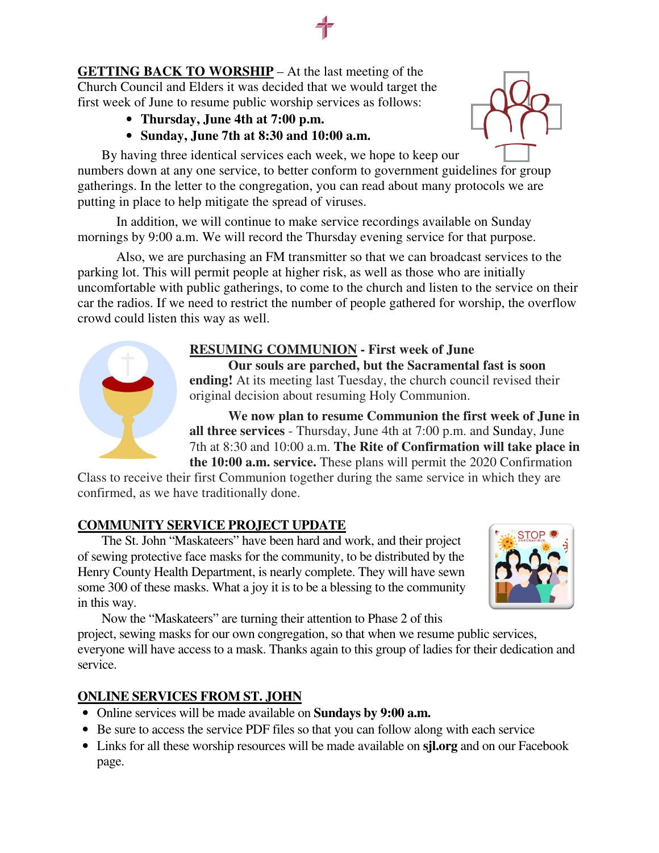**GETTING BACK TO WORSHIP** – At the last meeting of the Church Council and Elders it was decided that we would target the first week of June to resume public worship services as follows:

- **Thursday, June 4th at 7:00 p.m.**
- **Sunday, June 7th at 8:30 and 10:00 a.m.**

By having three identical services each week, we hope to keep our numbers down at any one service, to better conform to government guidelines for group gatherings. In the letter to the congregation, you can read about many protocols we are putting in place to help mitigate the spread of viruses.

In addition, we will continue to make service recordings available on Sunday mornings by 9:00 a.m. We will record the Thursday evening service for that purpose.

Also, we are purchasing an FM transmitter so that we can broadcast services to the parking lot. This will permit people at higher risk, as well as those who are initially uncomfortable with public gatherings, to come to the church and listen to the service on their car the radios. If we need to restrict the number of people gathered for worship, the overflow crowd could listen this way as well.



### **RESUMING COMMUNION - First week of June**

**Our souls are parched, but the Sacramental fast is soon ending!** At its meeting last Tuesday, the church council revised their original decision about resuming Holy Communion.

**We now plan to resume Communion the first week of June in all three services** - Thursday, June 4th at 7:00 p.m. and Sunday, June 7th at 8:30 and 10:00 a.m. **The Rite of Confirmation will take place in the 10:00 a.m. service.** These plans will permit the 2020 Confirmation

Class to receive their first Communion together during the same service in which they are confirmed, as we have traditionally done.

### **COMMUNITY SERVICE PROJECT UPDATE**

The St. John "Maskateers" have been hard and work, and their project of sewing protective face masks for the community, to be distributed by the Henry County Health Department, is nearly complete. They will have sewn some 300 of these masks. What a joy it is to be a blessing to the community in this way.



Now the "Maskateers" are turning their attention to Phase 2 of this

project, sewing masks for our own congregation, so that when we resume public services, everyone will have access to a mask. Thanks again to this group of ladies for their dedication and service.

### **ONLINE SERVICES FROM ST. JOHN**

- Online services will be made available on **Sundays by 9:00 a.m.**
- Be sure to access the service PDF files so that you can follow along with each service
- Links for all these worship resources will be made available on **sjl.org** and on our Facebook page.